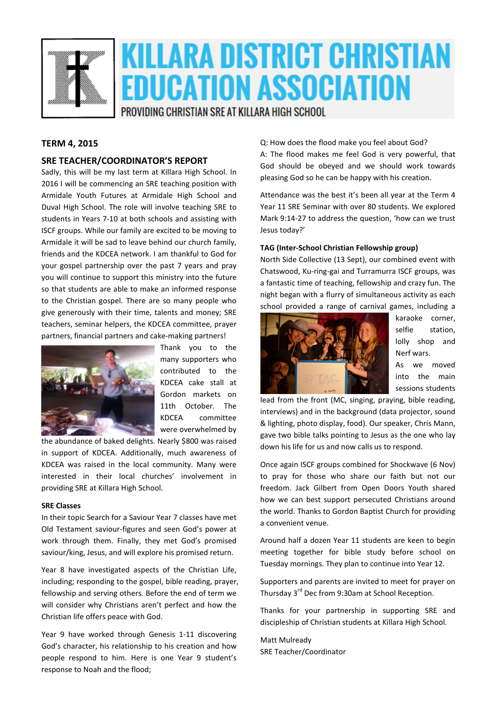

# KILLARA DISTRICT CHRISTIAN EDUCATION ASSOCIATION

PROVIDING CHRISTIAN SRE AT KILLARA HIGH SCHOOL

#### **TERM 4, 2015**

#### **SRE TEACHER/COORDINATOR'S REPORT**

Sadly, this will be my last term at Killara High School. In 2016 I will be commencing an SRE teaching position with Armidale Youth Futures at Armidale High School and Duval High School. The role will involve teaching SRE to students in Years 7-10 at both schools and assisting with ISCF groups. While our family are excited to be moving to Armidale it will be sad to leave behind our church family, friends and the KDCEA network. I am thankful to God for your gospel partnership over the past 7 years and pray you will continue to support this ministry into the future so that students are able to make an informed response to the Christian gospel. There are so many people who give generously with their time, talents and money; SRE teachers, seminar helpers, the KDCEA committee, prayer partners, financial partners and cake-making partners!



Thank you to the many supporters who contributed to the KDCEA cake stall at Gordon markets on 11th October. The KDCEA committee were overwhelmed by

the abundance of baked delights. Nearly \$800 was raised in support of KDCEA. Additionally, much awareness of KDCEA was raised in the local community. Many were interested in their local churches' involvement in providing SRE at Killara High School.

#### **SRE Classes**

In their topic Search for a Saviour Year 7 classes have met Old Testament saviour-figures and seen God's power at work through them. Finally, they met God's promised saviour/king, Jesus, and will explore his promised return.

Year 8 have investigated aspects of the Christian Life, including; responding to the gospel, bible reading, prayer, fellowship and serving others. Before the end of term we will consider why Christians aren't perfect and how the Christian life offers peace with God.

Year 9 have worked through Genesis 1-11 discovering God's character, his relationship to his creation and how people respond to him. Here is one Year 9 student's response to Noah and the flood;

Q: How does the flood make you feel about God?

A: The flood makes me feel God is very powerful, that God should be obeyed and we should work towards pleasing God so he can be happy with his creation.

Attendance was the best it's been all year at the Term 4 Year 11 SRE Seminar with over 80 students. We explored Mark 9:14-27 to address the question, 'how can we trust Jesus today?'

#### **TAG (Inter-School Christian Fellowship group)**

North Side Collective (13 Sept), our combined event with Chatswood, Ku-ring-gai and Turramurra ISCF groups, was a fantastic time of teaching, fellowship and crazy fun. The night began with a flurry of simultaneous activity as each school provided a range of carnival games, including a



karaoke corner, selfie station, lolly shop and Nerf wars.

As we moved into the main sessions students

lead from the front (MC, singing, praying, bible reading, interviews) and in the background (data projector, sound & lighting, photo display, food). Our speaker, Chris Mann, gave two bible talks pointing to Jesus as the one who lay down his life for us and now calls us to respond.

Once again ISCF groups combined for Shockwave (6 Nov) to pray for those who share our faith but not our freedom. Jack Gilbert from Open Doors Youth shared how we can best support persecuted Christians around the world. Thanks to Gordon Baptist Church for providing a convenient venue.

Around half a dozen Year 11 students are keen to begin meeting together for bible study before school on Tuesday mornings. They plan to continue into Year 12.

Supporters and parents are invited to meet for prayer on Thursday 3<sup>rd</sup> Dec from 9:30am at School Reception.

Thanks for your partnership in supporting SRE and discipleship of Christian students at Killara High School.

Matt Mulready SRE Teacher/Coordinator